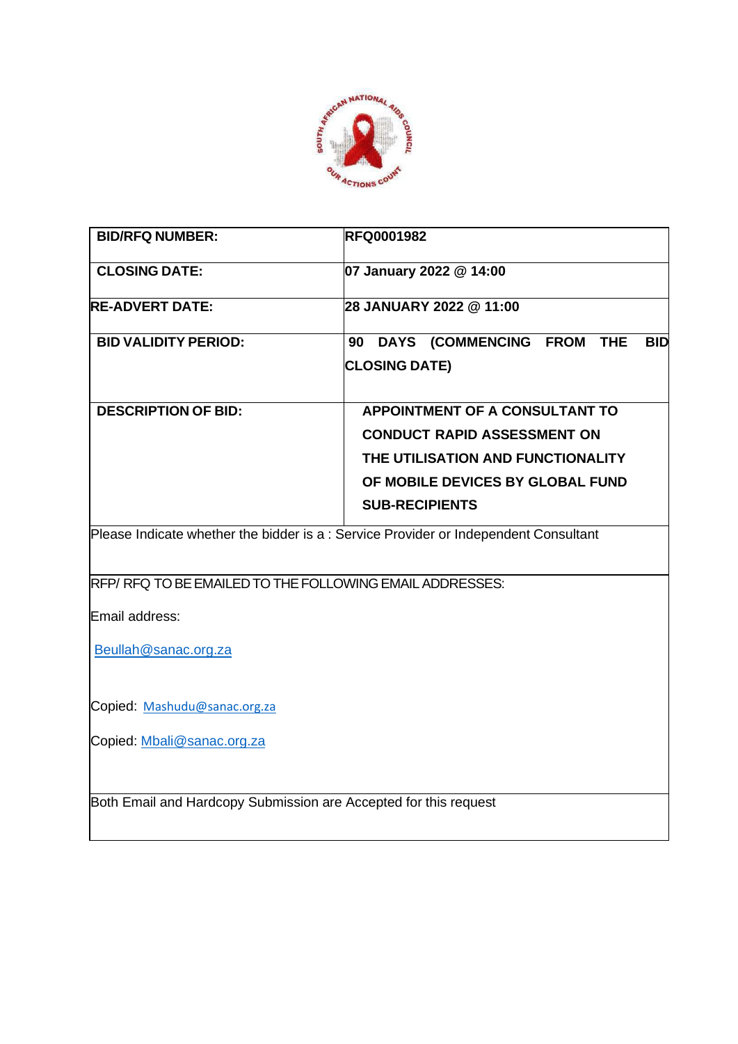

| <b>BID/RFQ NUMBER:</b>                                                                            | <b>RFQ0001982</b>                                                                                                                                                      |
|---------------------------------------------------------------------------------------------------|------------------------------------------------------------------------------------------------------------------------------------------------------------------------|
| <b>CLOSING DATE:</b>                                                                              | 07 January 2022 @ 14:00                                                                                                                                                |
| <b>RE-ADVERT DATE:</b>                                                                            | 28 JANUARY 2022 @ 11:00                                                                                                                                                |
| <b>BID VALIDITY PERIOD:</b>                                                                       | 90 DAYS (COMMENCING FROM THE<br><b>BID</b><br><b>CLOSING DATE)</b>                                                                                                     |
| <b>DESCRIPTION OF BID:</b>                                                                        | APPOINTMENT OF A CONSULTANT TO<br><b>CONDUCT RAPID ASSESSMENT ON</b><br>THE UTILISATION AND FUNCTIONALITY<br>OF MOBILE DEVICES BY GLOBAL FUND<br><b>SUB-RECIPIENTS</b> |
|                                                                                                   | Please Indicate whether the bidder is a: Service Provider or Independent Consultant                                                                                    |
| RFP/RFQ TO BE EMAILED TO THE FOLLOWING EMAIL ADDRESSES:<br>Email address:<br>Beullah@sanac.org.za |                                                                                                                                                                        |
|                                                                                                   |                                                                                                                                                                        |
| Copied: Mashudu@sanac.org.za                                                                      |                                                                                                                                                                        |
| Copied: Mbali@sanac.org.za                                                                        |                                                                                                                                                                        |
| Both Email and Hardcopy Submission are Accepted for this request                                  |                                                                                                                                                                        |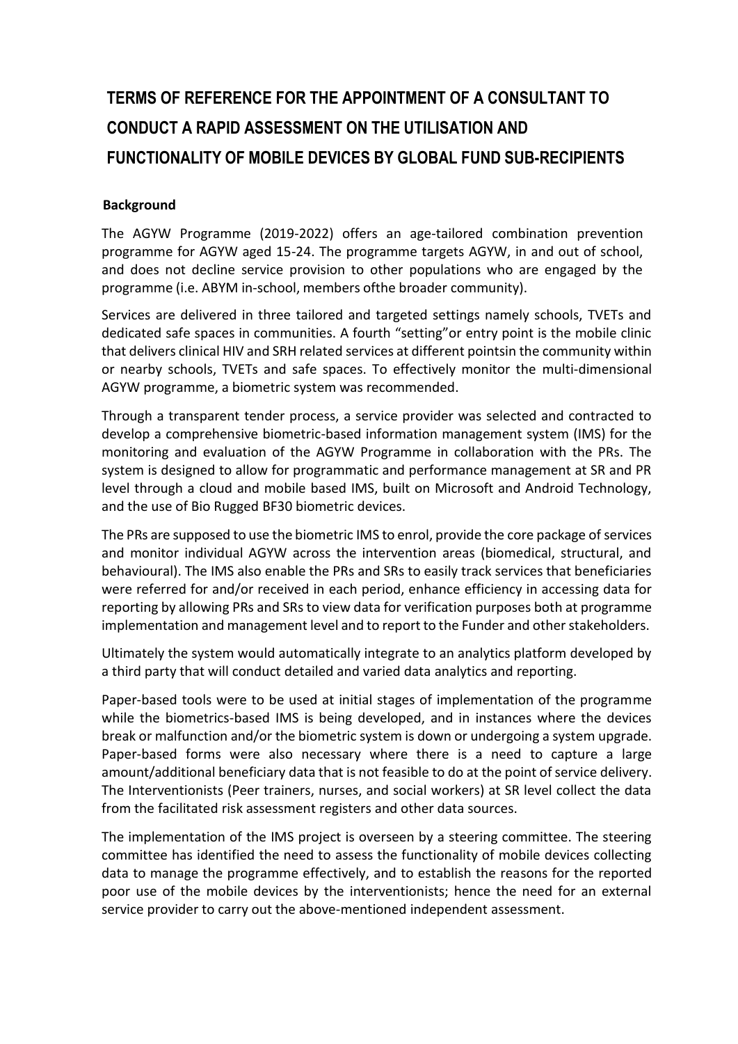# **TERMS OF REFERENCE FOR THE APPOINTMENT OF A CONSULTANT TO CONDUCT A RAPID ASSESSMENT ON THE UTILISATION AND FUNCTIONALITY OF MOBILE DEVICES BY GLOBAL FUND SUB-RECIPIENTS**

## **Background**

The AGYW Programme (2019-2022) offers an age-tailored combination prevention programme for AGYW aged 15-24. The programme targets AGYW, in and out of school, and does not decline service provision to other populations who are engaged by the programme (i.e. ABYM in-school, members ofthe broader community).

Services are delivered in three tailored and targeted settings namely schools, TVETs and dedicated safe spaces in communities. A fourth "setting"or entry point is the mobile clinic that delivers clinical HIV and SRH related services at different pointsin the community within or nearby schools, TVETs and safe spaces. To effectively monitor the multi-dimensional AGYW programme, a biometric system was recommended.

Through a transparent tender process, a service provider was selected and contracted to develop a comprehensive biometric-based information management system (IMS) for the monitoring and evaluation of the AGYW Programme in collaboration with the PRs. The system is designed to allow for programmatic and performance management at SR and PR level through a cloud and mobile based IMS, built on Microsoft and Android Technology, and the use of Bio Rugged BF30 biometric devices.

The PRs are supposed to use the biometric IMS to enrol, provide the core package of services and monitor individual AGYW across the intervention areas (biomedical, structural, and behavioural). The IMS also enable the PRs and SRs to easily track services that beneficiaries were referred for and/or received in each period, enhance efficiency in accessing data for reporting by allowing PRs and SRs to view data for verification purposes both at programme implementation and management level and to report to the Funder and other stakeholders.

Ultimately the system would automatically integrate to an analytics platform developed by a third party that will conduct detailed and varied data analytics and reporting.

Paper-based tools were to be used at initial stages of implementation of the programme while the biometrics-based IMS is being developed, and in instances where the devices break or malfunction and/or the biometric system is down or undergoing a system upgrade. Paper-based forms were also necessary where there is a need to capture a large amount/additional beneficiary data that is not feasible to do at the point of service delivery. The Interventionists (Peer trainers, nurses, and social workers) at SR level collect the data from the facilitated risk assessment registers and other data sources.

The implementation of the IMS project is overseen by a steering committee. The steering committee has identified the need to assess the functionality of mobile devices collecting data to manage the programme effectively, and to establish the reasons for the reported poor use of the mobile devices by the interventionists; hence the need for an external service provider to carry out the above-mentioned independent assessment.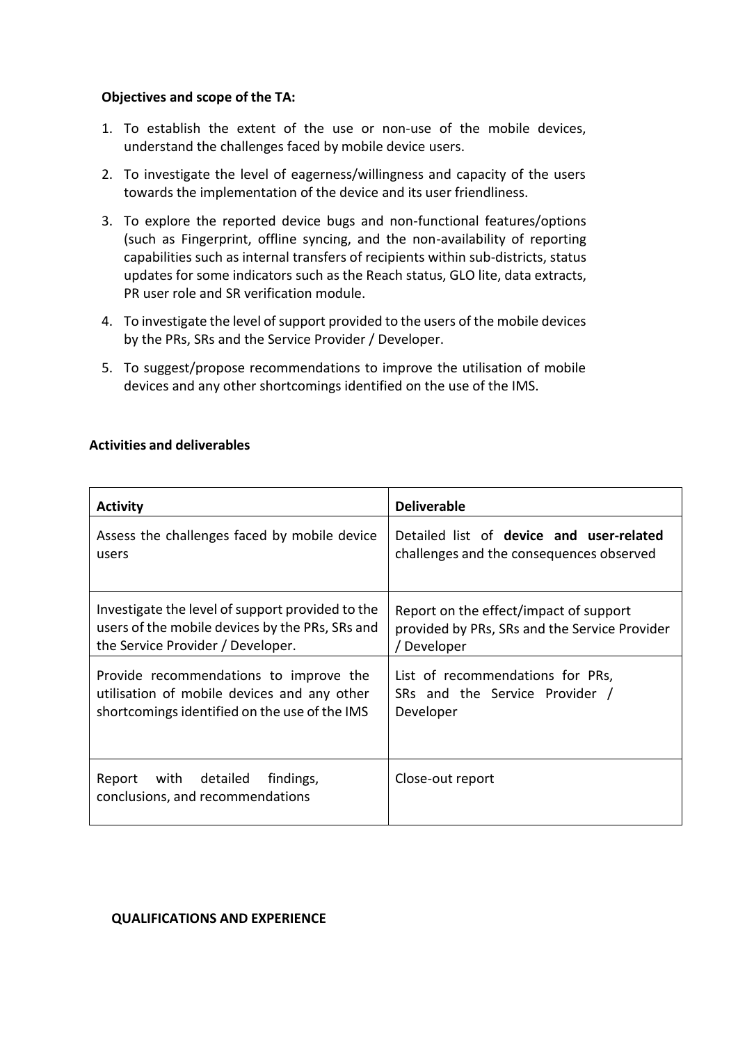#### **Objectives and scope of the TA:**

- 1. To establish the extent of the use or non-use of the mobile devices, understand the challenges faced by mobile device users.
- 2. To investigate the level of eagerness/willingness and capacity of the users towards the implementation of the device and its user friendliness.
- 3. To explore the reported device bugs and non-functional features/options (such as Fingerprint, offline syncing, and the non-availability of reporting capabilities such as internal transfers of recipients within sub-districts, status updates for some indicators such as the Reach status, GLO lite, data extracts, PR user role and SR verification module.
- 4. To investigate the level of support provided to the users of the mobile devices by the PRs, SRs and the Service Provider / Developer.
- 5. To suggest/propose recommendations to improve the utilisation of mobile devices and any other shortcomings identified on the use of the IMS.

## **Activities and deliverables**

| <b>Activity</b>                                                             | <b>Deliverable</b>                            |
|-----------------------------------------------------------------------------|-----------------------------------------------|
| Assess the challenges faced by mobile device                                | Detailed list of device and user-related      |
| users                                                                       | challenges and the consequences observed      |
| Investigate the level of support provided to the                            | Report on the effect/impact of support        |
| users of the mobile devices by the PRs, SRs and                             | provided by PRs, SRs and the Service Provider |
| the Service Provider / Developer.                                           | / Developer                                   |
| Provide recommendations to improve the                                      | List of recommendations for PRs,              |
| utilisation of mobile devices and any other                                 | SRs and the Service Provider /                |
| shortcomings identified on the use of the IMS                               | Developer                                     |
| with<br>detailed<br>findings,<br>Report<br>conclusions, and recommendations | Close-out report                              |

#### **QUALIFICATIONS AND EXPERIENCE**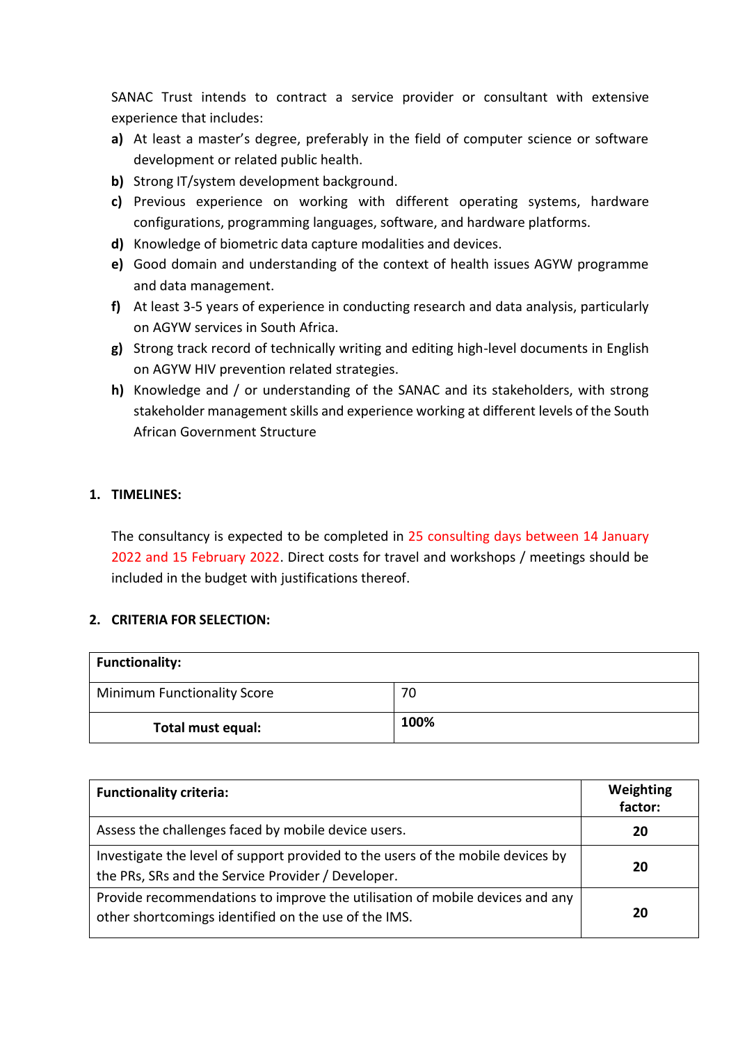SANAC Trust intends to contract a service provider or consultant with extensive experience that includes:

- **a)** At least a master's degree, preferably in the field of computer science or software development or related public health.
- **b)** Strong IT/system development background.
- **c)** Previous experience on working with different operating systems, hardware configurations, programming languages, software, and hardware platforms.
- **d)** Knowledge of biometric data capture modalities and devices.
- **e)** Good domain and understanding of the context of health issues AGYW programme and data management.
- **f)** At least 3-5 years of experience in conducting research and data analysis, particularly on AGYW services in South Africa.
- **g)** Strong track record of technically writing and editing high-level documents in English on AGYW HIV prevention related strategies.
- **h)** Knowledge and / or understanding of the SANAC and its stakeholders, with strong stakeholder management skills and experience working at different levels of the South African Government Structure

# **1. TIMELINES:**

The consultancy is expected to be completed in 25 consulting days between 14 January 2022 and 15 February 2022. Direct costs for travel and workshops / meetings should be included in the budget with justifications thereof.

# **2. CRITERIA FOR SELECTION:**

| <b>Functionality:</b>              |      |
|------------------------------------|------|
| <b>Minimum Functionality Score</b> | 70   |
| Total must equal:                  | 100% |

| <b>Functionality criteria:</b>                                                                                                        | Weighting<br>factor: |
|---------------------------------------------------------------------------------------------------------------------------------------|----------------------|
| Assess the challenges faced by mobile device users.                                                                                   | 20                   |
| Investigate the level of support provided to the users of the mobile devices by<br>the PRs, SRs and the Service Provider / Developer. | 20                   |
| Provide recommendations to improve the utilisation of mobile devices and any<br>other shortcomings identified on the use of the IMS.  | 20                   |